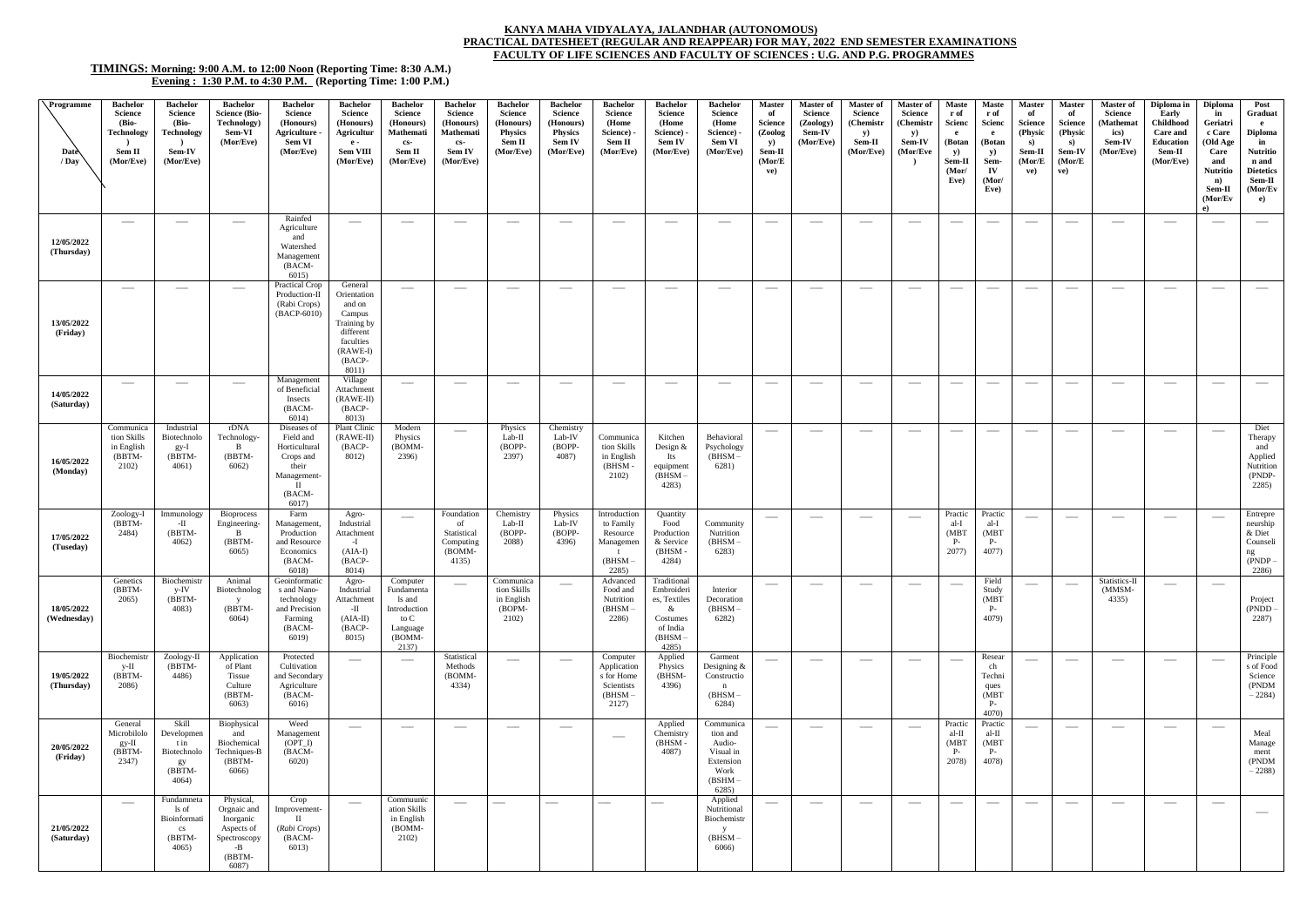## **KANYA MAHA VIDYALAYA, JALANDHAR (AUTONOMOUS)**

## **PRACTICAL DATESHEET (REGULAR AND REAPPEAR) FOR MAY, 2022 END SEMESTER EXAMINATIONS FACULTY OF LIFE SCIENCES AND FACULTY OF SCIENCES : U.G. AND P.G. PROGRAMMES**

## **TIMINGS: Morning: 9:00 A.M. to 12:00 Noon (Reporting Time: 8:30 A.M.) Evening : 1:30 P.M. to 4:30 P.M. (Reporting Time: 1:00 P.M.)**

| $\sqrt{\text{Programme}}$<br>Date<br>/ Day | Bachelor<br><b>Science</b><br>(Bio-<br><b>Technology</b><br>Sem II<br>(Mor/Eve) | <b>Bachelor</b><br><b>Science</b><br>(Bio-<br><b>Technology</b><br><b>Sem-IV</b><br>(Mor/Eve) | <b>Bachelor</b><br><b>Science (Bio-</b><br>Technology)<br>Sem-VI<br>(Mor/Eve)                  | <b>Bachelor</b><br>Science<br>(Honours)<br>Agriculture<br>Sem VI<br>(Mor/Eve)                             | <b>Bachelor</b><br><b>Science</b><br>(Honours)<br>Agricultur<br>$-e -$<br>Sem VIII<br>(Mor/Eve)                        | <b>Bachelor</b><br><b>Science</b><br>(Honours)<br><b>Mathemati</b><br>cs-<br>Sem II<br>(Mor/Eve) | <b>Bachelor</b><br><b>Science</b><br>(Honours)<br>Mathemati<br>$cs-$<br><b>Sem IV</b><br>(Mor/Eve) | <b>Bachelor</b><br><b>Science</b><br>(Honours)<br><b>Physics</b><br>Sem II<br>(Mor/Eve) | <b>Bachelor</b><br><b>Science</b><br>(Honours)<br><b>Physics</b><br>Sem IV<br>(Mor/Eve) | <b>Bachelor</b><br><b>Science</b><br>(Home<br>Science) -<br>Sem II<br>(Mor/Eve) | <b>Bachelor</b><br><b>Science</b><br>(Home<br>Science) -<br><b>Sem IV</b><br>(Mor/Eve)          | <b>Bachelor</b><br><b>Science</b><br>(Home<br>Science) -<br><b>Sem VI</b><br>(Mor/Eve)  | <b>Master</b><br>of<br><b>Science</b><br>(Zoolog<br><b>y</b> )<br>Sem-II<br>(Mor/E)<br>ve) | <b>Master of</b><br><b>Science</b><br>(Zoology)<br>Sem-IV<br>(Mor/Eve) | <b>Master of</b><br>Science<br>(Chemistr<br><b>y</b> )<br>Sem-II<br>(Mor/Eve) | Master of<br><b>Science</b><br>(Chemistr<br><b>y</b> )<br><b>Sem-IV</b><br>(Mor/Eve | Maste<br>r of<br><b>Scienc</b><br>e.<br>(Botan<br><b>y</b> )<br>Sem-Il<br>(Mor)<br>Eve) | <b>Maste</b><br>r of<br>Scienc<br>e<br>(Botan<br><b>y</b> )<br>Sem-<br>$\mathbf{IV}$<br>(Mor/<br>Eve) | <b>Master</b><br>of<br><b>Science</b><br>(Physic<br>S)<br>Sem-II<br>(Mor/E)<br>ve) | <b>Master</b><br>of<br><b>Science</b><br>(Physic<br>S)<br>Sem-IV<br>(Mor/E<br>ve) | <b>Master of</b><br>Science<br>(Mathemat<br>ics)<br>Sem-IV<br>(Mor/Eve) | Diploma in<br>Early<br><b>Childhood</b><br><b>Care and</b><br>Education<br>Sem-II<br>(Mor/Eve) | <b>Diploma</b><br>in<br>Geriatri<br>c Care<br>(Old Age<br>Care<br>and<br><b>Nutritio</b><br>n)<br>Sem-II<br>(Mor/Ev)<br>e) | Post<br>Graduat<br>$\mathbf{e}$<br>Diploma<br>in<br><b>Nutritio</b><br>n and<br><b>Dietetics</b><br>Sem-II<br>(Mor/Ev<br>e) |
|--------------------------------------------|---------------------------------------------------------------------------------|-----------------------------------------------------------------------------------------------|------------------------------------------------------------------------------------------------|-----------------------------------------------------------------------------------------------------------|------------------------------------------------------------------------------------------------------------------------|--------------------------------------------------------------------------------------------------|----------------------------------------------------------------------------------------------------|-----------------------------------------------------------------------------------------|-----------------------------------------------------------------------------------------|---------------------------------------------------------------------------------|-------------------------------------------------------------------------------------------------|-----------------------------------------------------------------------------------------|--------------------------------------------------------------------------------------------|------------------------------------------------------------------------|-------------------------------------------------------------------------------|-------------------------------------------------------------------------------------|-----------------------------------------------------------------------------------------|-------------------------------------------------------------------------------------------------------|------------------------------------------------------------------------------------|-----------------------------------------------------------------------------------|-------------------------------------------------------------------------|------------------------------------------------------------------------------------------------|----------------------------------------------------------------------------------------------------------------------------|-----------------------------------------------------------------------------------------------------------------------------|
| 12/05/2022<br>(Thursday)                   | $\hspace{0.05cm}$                                                               | $\overbrace{\phantom{aaaaa}}^{}$                                                              | $\hspace{0.05cm}$                                                                              | Rainfed<br>Agriculture<br>and<br>Watershed<br>Management<br>$(BACM -$<br>6015                             | $\hspace{0.1mm}-\hspace{0.1mm}$                                                                                        | $\hspace{0.05cm}$                                                                                | $\hspace{0.05cm}$                                                                                  | $\hspace{0.05cm}$                                                                       | $\hspace{1.5cm} \overbrace{ }^{}$                                                       | $\hspace{0.05cm}$                                                               | $\hspace{0.1mm}-\hspace{0.1mm}$                                                                 | $\overbrace{\phantom{123321}}$                                                          | $\hspace{0.1mm}-\hspace{0.1mm}$                                                            | $\hspace{0.1mm}-\hspace{0.1mm}$                                        | $\hspace{0.1mm}-\hspace{0.1mm}-\hspace{0.1mm}$                                | $\hspace{0.05cm}$                                                                   |                                                                                         | $\hspace{1.5cm} \overbrace{\hspace{1.5cm}}$                                                           |                                                                                    | $\hspace{0.05cm}$                                                                 | $\hspace{0.05cm}$                                                       | $\hspace{0.1mm}-\hspace{0.1mm}$                                                                |                                                                                                                            | $\frac{1}{2}$                                                                                                               |
| 13/05/2022<br>(Friday)                     | $\hspace{0.1mm}-\hspace{0.1mm}$                                                 |                                                                                               | $\hspace{0.05cm}$                                                                              | Practical Crop<br>Production-II<br>(Rabi Crops)<br>(BACP-6010)                                            | General<br>Orientation<br>and on<br>Campus<br>Training by<br>different<br>faculties<br>$(RAWE-I)$<br>$(BACP-$<br>8011) | $\overbrace{\phantom{12332}}$                                                                    | $\hspace{0.05cm}$                                                                                  |                                                                                         |                                                                                         | $\hspace{0.05cm}$                                                               | $\overbrace{\hspace{25mm}}^{}$                                                                  | --                                                                                      | $\hspace{0.05cm}$                                                                          |                                                                        | $\overline{\phantom{a}}$                                                      | $\hspace{1.5cm} \overbrace{\hspace{1.5cm}}$                                         |                                                                                         | ---                                                                                                   | $\hspace{1.5cm} \overbrace{\hspace{1.5cm}}^{}$                                     | $\hspace{0.05cm}$                                                                 | $\hspace{0.05cm}$                                                       | $\hspace{0.1mm}-\hspace{0.1mm}$                                                                | $\overbrace{\hspace{25mm}}^{}$                                                                                             |                                                                                                                             |
| 14/05/2022<br>(Saturday)                   |                                                                                 |                                                                                               |                                                                                                | Management<br>of Beneficial<br>Insects<br>(BACM-<br>6014)                                                 | Village<br>Attachment<br>$(RAWE-II)$<br>$(BACP-$<br>8013)                                                              |                                                                                                  |                                                                                                    |                                                                                         |                                                                                         |                                                                                 |                                                                                                 |                                                                                         |                                                                                            |                                                                        |                                                                               |                                                                                     |                                                                                         |                                                                                                       |                                                                                    | ---                                                                               |                                                                         | -                                                                                              |                                                                                                                            |                                                                                                                             |
| 16/05/2022<br>(Monday)                     | Communica<br>tion Skills<br>in English<br>(BBTM-<br>2102)                       | Industrial<br>Biotechnolo<br>$gy-I$<br>(BBTM-<br>4061)                                        | rDNA<br>Technology<br>B<br>(BBTM-<br>6062)                                                     | Diseases of<br>Field and<br>Horticultural<br>Crops and<br>their<br>Management-<br>л<br>$(BACM -$<br>6017) | Plant Clinic<br>$(RAWE-II)$<br>(BACP-<br>8012)                                                                         | Modern<br>Physics<br>(BOMM-<br>2396)                                                             |                                                                                                    | Physics<br>Lab-II<br>(BOPP-<br>2397)                                                    | Chemistry<br>Lab-IV<br>(BOPP-<br>4087)                                                  | Communica<br>tion Skills<br>in English<br>(BHSM<br>2102)                        | Kitchen<br>Design $&$<br>Its<br>equipment<br>$(BHSM -$<br>4283)                                 | Behavioral<br>Psychology<br>$(BHSM -$<br>6281)                                          | $\hspace{0.05cm}$                                                                          |                                                                        |                                                                               | $\overline{\phantom{a}}$                                                            |                                                                                         | ---                                                                                                   |                                                                                    | $\hspace{0.05cm}$                                                                 |                                                                         | $\hspace{0.1mm}-\hspace{0.1mm}$                                                                | $\overbrace{\hspace{25mm}}^{}$                                                                                             | Diet<br>Therapy<br>and<br>Applied<br>Nutrition<br>(PNDP-<br>2285)                                                           |
| 17/05/2022<br>(Tuseday)                    | Zoology-I<br>$(BBTM-$<br>2484)                                                  | Immunology<br>-П<br>(BBTM-<br>4062)                                                           | <b>Bioprocess</b><br>Engineering-<br>B<br>(BBTM<br>$6065$ )                                    | Farm<br>Management,<br>Production<br>and Resource<br>Economics<br>(BACM-<br>6018)                         | Agro-<br>Industrial<br>Attachment<br>$-I$<br>$(AIA-I)$<br>(BACP-<br>8014)                                              |                                                                                                  | Foundation<br>of<br>Statistical<br>Computing<br>(BOMM-<br>4135)                                    | Chemistry<br>Lab-II<br>(BOPP-<br>2088)                                                  | Physics<br>Lab-IV<br>(BOPP-<br>4396)                                                    | Introduction<br>to Family<br>Resource<br>Managemen<br>(BHSM<br>2285)            | Quantity<br>Food<br>Production<br>& Service<br>$(BHSM -$<br>4284)                               | Community<br>Nutrition<br>$(BHSM -$<br>6283)                                            | $\hspace{0.05cm}$                                                                          |                                                                        | $\overline{\phantom{a}}$                                                      | $\overbrace{\phantom{12332}}$                                                       | Practic<br>al-I<br>(MBT)<br><b>P</b> .<br>2077)                                         | Practic<br>al-I<br>(MBT)<br>$P-$<br>4077)                                                             | $\overline{\phantom{a}}$                                                           | $\overbrace{\phantom{12332}}$                                                     | --                                                                      | $\hspace{0.1mm}-\hspace{0.1mm}$                                                                |                                                                                                                            | Entrepre<br>neurship<br>& Diet<br>Counseli<br>ng<br>(PNDP<br>2286)                                                          |
| 18/05/2022<br>(Wednesday)                  | Genetics<br>(BBTM-<br>2065)                                                     | Biochemistr<br>y-IV<br>$(BBTM -$<br>4083)                                                     | Animal<br>Biotechnolog<br>y<br>(BBTM-<br>6064)                                                 | Geoinformatic<br>s and Nano-<br>technology<br>and Precision<br>Farming<br>(BACM-<br>6019)                 | Agro-<br>Industrial<br>Attachment<br>$-{\rm II}$<br>$(AIA-II)$<br>(BACP-<br>8015)                                      | Computer<br>Fundamenta<br>ls and<br>Introduction<br>to C<br>Language<br>(BOMM-<br>2137)          | $\hspace{0.05cm}$                                                                                  | Communica<br>tion Skills<br>in English<br>(BOPM-<br>2102)                               |                                                                                         | Advanced<br>Food and<br>Nutrition<br>$(BHSM -$<br>2286)                         | Traditional<br>Embroideri<br>es, Textiles<br>$\&$<br>Costumes<br>of India<br>$(BHSM -$<br>4285) | Interior<br>Decoration<br>$(BHSM -$<br>6282)                                            | $\hspace{0.1mm}-\hspace{0.1mm}$                                                            |                                                                        |                                                                               |                                                                                     |                                                                                         | Field<br>Study<br>(MBT<br>$P-$<br>4079)                                                               |                                                                                    | $\hspace{0.05cm}$                                                                 | Statistics-II<br>(MMSM-<br>4335)                                        | $\overline{\phantom{a}}$                                                                       | $\hspace{0.05cm}$                                                                                                          | Project<br>$(PNDD -$<br>2287)                                                                                               |
| 19/05/2022<br>(Thursday)                   | Biochemistr<br>y-II<br>(BBTM-<br>2086)                                          | Zoology-II<br>(BBTM-<br>4486)                                                                 | Application<br>of Plant<br>Tissue<br>Culture<br>(BBTM-<br>6063)                                | Protected<br>Cultivation<br>and Secondary<br>Agriculture<br>(BACM-<br>6016)                               | $\hspace{0.1mm}-\hspace{0.1mm}$                                                                                        | $-\!-\!$                                                                                         | Statistical<br>Methods<br>(BOMM-<br>4334)                                                          | $\hspace{0.05cm}$                                                                       | $\hspace{0.05cm}$                                                                       | Computer<br>Application<br>s for Home<br>Scientists<br>$(BHSM -$<br>2127)       | Applied<br>Physics<br>(BHSM-<br>4396)                                                           | Garment<br>Designing $&$<br>Constructio<br>$\mathbf n$<br>$(BHSM -$<br>6284)            | $\hspace{0.05cm}$                                                                          | $\overbrace{\hspace{25mm}}^{}$                                         | $\hspace{0.05cm}$                                                             | $\hspace{0.05cm}$                                                                   | $\hspace{0.05cm}$                                                                       | Resear<br>ch<br>Techni<br>ques<br>(MBT)<br>$P-$<br>4070)                                              | $\overline{\phantom{a}}$                                                           | $\hspace{0.05cm}$                                                                 | $\hspace{0.05cm}$                                                       | $\hspace{0.1mm}-\hspace{0.1mm}$                                                                | $\hspace{0.05cm}$                                                                                                          | Principle<br>s of Food<br>Science<br>(PNDM<br>$-2284$                                                                       |
| 20/05/2022<br>(Friday)                     | General<br>Microbilolo<br>$gy-II$<br>(BBTM-<br>2347)                            | Skill<br>Developmen<br>t in<br>Biotechnolo<br>gy<br>(BBTM-<br>4064)                           | Biophysical<br>and<br>Biochemical<br>Techniques-B<br>(BBTM-<br>6066)                           | Weed<br>Management<br>$(OPT_I)$<br>(BACM-<br>6020                                                         | $\hspace{0.1mm}-\hspace{0.1mm}$                                                                                        | $\qquad \qquad -$                                                                                | $\hspace{0.05cm}$                                                                                  | $\hspace{0.05cm}$                                                                       | $\hspace{0.1mm}-\hspace{0.1mm}$                                                         | $\hspace{0.05cm}$                                                               | Applied<br>Chemistry<br>$(BHSM -$<br>4087)                                                      | Communica<br>tion and<br>Audio-<br>Visual in<br>Extension<br>Work<br>$(BSHM -$<br>6285) | $\hspace{0.05cm}$                                                                          | $\hspace{0.05cm}$                                                      | $\hspace{0.1mm}-\hspace{0.1mm}-\hspace{0.1mm}$                                | $\hspace{0.05cm}$                                                                   | Practic<br>al-II<br>(MBT)<br>$P-$<br>2078)                                              | Practic<br>al-II<br>(MBT)<br>$P-$<br>4078)                                                            |                                                                                    | $\hspace{0.05cm}$                                                                 |                                                                         | $\hspace{0.1mm}-\hspace{0.1mm}$                                                                | $\hspace{0.05cm}$                                                                                                          | Meal<br>Manage<br>ment<br>(PNDM<br>$-2288$                                                                                  |
| 21/05/2022<br>(Saturday)                   | $\hspace{0.05cm}$                                                               | Fundamneta<br>ls of<br>Bioinformati<br>$\mathbf{c}\mathbf{s}$<br>(BBTM-<br>4065)              | Physical,<br>Orgnaic and<br>Inorganic<br>Aspects of<br>Spectroscopy<br>$-B$<br>(BBTM-<br>6087) | Crop<br>Improvement-<br>$\mathbf{H}$<br>(Rabi Crops)<br>(BACM-<br>6013)                                   | $\hspace{0.05cm}$                                                                                                      | Commuunic<br>ation Skills<br>in English<br>(BOMM-<br>2102)                                       | $\hspace{0.05cm}$                                                                                  |                                                                                         |                                                                                         | $\overline{\phantom{0}}$                                                        |                                                                                                 | Applied<br>Nutritional<br>Biochemistr<br>$(BHSM -$<br>6066)                             | $\hspace{0.05cm}$                                                                          | $\overline{\phantom{a}}$                                               | $\overline{\phantom{m}}$                                                      | $\overbrace{\phantom{123221}}$                                                      | $\overbrace{\qquad \qquad }^{}$                                                         | $\overbrace{\phantom{12332}}$                                                                         | $\overline{\phantom{a}}$                                                           | $\hspace{0.05cm}$                                                                 |                                                                         | $\hspace{0.1mm}-\hspace{0.1mm}$                                                                | $\overbrace{\hspace{25mm}}^{}$                                                                                             |                                                                                                                             |